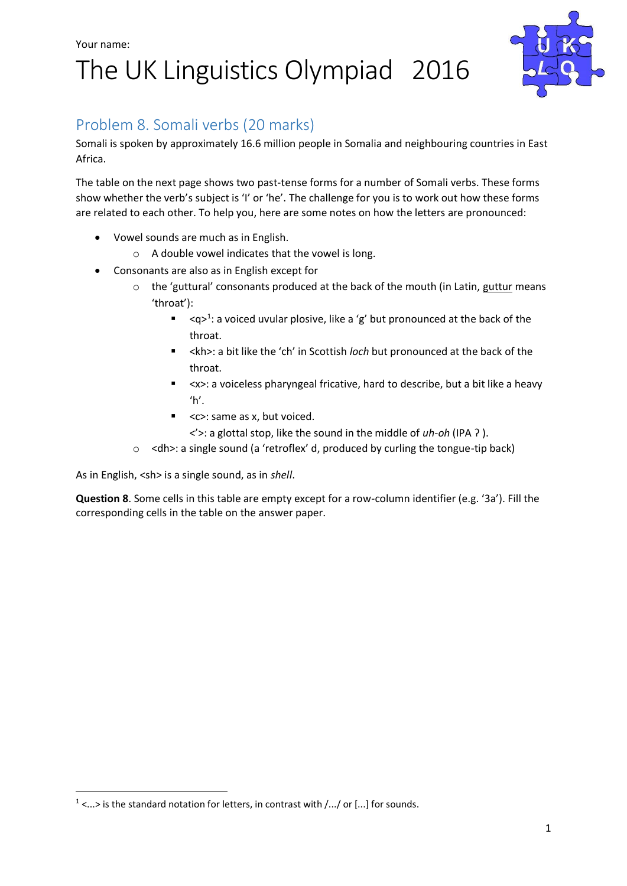## Your name: The UK Linguistics Olympiad 2016



### Problem 8. Somali verbs (20 marks)

Somali is spoken by approximately 16.6 million people in Somalia and neighbouring countries in East Africa.

The table on the next page shows two past-tense forms for a number of Somali verbs. These forms show whether the verb's subject is 'I' or 'he'. The challenge for you is to work out how these forms are related to each other. To help you, here are some notes on how the letters are pronounced:

- Vowel sounds are much as in English.
	- o A double vowel indicates that the vowel is long.
- Consonants are also as in English except for
	- $\circ$  the 'guttural' consonants produced at the back of the mouth (in Latin, guttur means 'throat'):
		- $\blacksquare$  <q><sup>1</sup>: a voiced uvular plosive, like a 'g' but pronounced at the back of the throat.
		- <kh>: a bit like the 'ch' in Scottish *loch* but pronounced at the back of the throat.
		- <x>: a voiceless pharyngeal fricative, hard to describe, but a bit like a heavy  $'h'.$
		- <c>: same as x, but voiced.

<'>: a glottal stop, like the sound in the middle of *uh-oh* (IPA ʔ ).

o <dh>: a single sound (a 'retroflex' d, produced by curling the tongue-tip back)

As in English, <sh> is a single sound, as in *shell*.

1

**Question 8**. Some cells in this table are empty except for a row-column identifier (e.g. '3a'). Fill the corresponding cells in the table on the answer paper.

 $1$  <...> is the standard notation for letters, in contrast with  $/$ ... $/$  or [...] for sounds.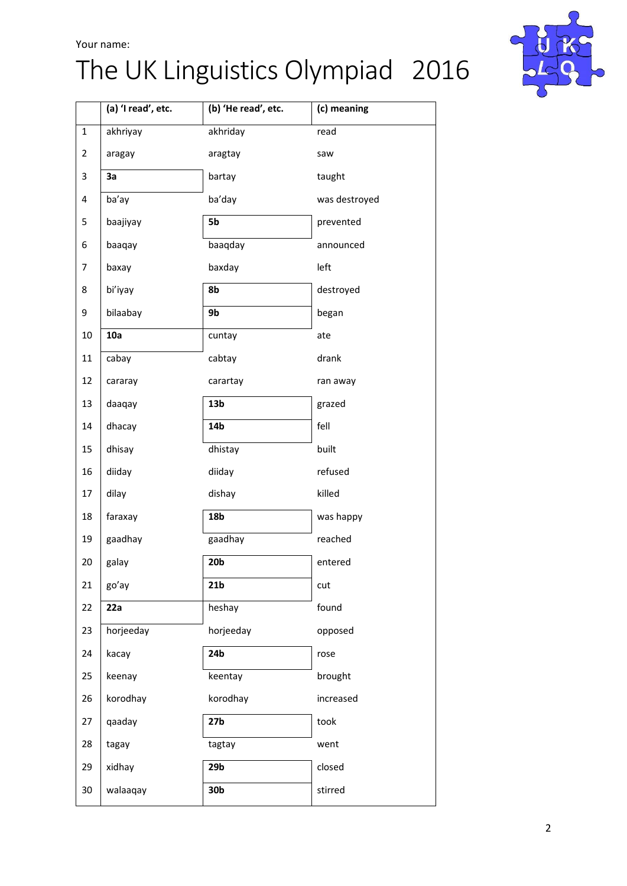#### Your name:

# The UK Linguistics Olympiad 2016



|              | (a) 'I read', etc. | (b) 'He read', etc. | (c) meaning   |
|--------------|--------------------|---------------------|---------------|
| $\mathbf{1}$ | akhriyay           | akhriday            | read          |
| 2            | aragay             | aragtay             | saw           |
| 3            | 3a                 | bartay              | taught        |
| 4            | ba'ay              | ba'day              | was destroyed |
| 5            | baajiyay           | 5b                  | prevented     |
| 6            | baaqay             | baaqday             | announced     |
| 7            | baxay              | baxday              | left          |
| 8            | bi'iyay            | 8b                  | destroyed     |
| 9            | bilaabay           | 9b                  | began         |
| 10           | 10a                | cuntay              | ate           |
| 11           | cabay              | cabtay              | drank         |
| 12           | cararay            | carartay            | ran away      |
| 13           | daaqay             | 13 <sub>b</sub>     | grazed        |
| 14           | dhacay             | 14b                 | fell          |
| 15           | dhisay             | dhistay             | built         |
| 16           | diiday             | diiday              | refused       |
| 17           | dilay              | dishay              | killed        |
| 18           | faraxay            | 18b                 | was happy     |
| 19           | gaadhay            | gaadhay             | reached       |
| 20           | galay              | 20 <sub>b</sub>     | entered       |
| 21           | go'ay              | 21 <sub>b</sub>     | cut           |
| 22           | 22a                | heshay              | found         |
| 23           | horjeeday          | horjeeday           | opposed       |
| 24           | kacay              | 24b                 | rose          |
| 25           | keenay             | keentay             | brought       |
| 26           | korodhay           | korodhay            | increased     |
| 27           | qaaday             | 27 <sub>b</sub>     | took          |
| 28           | tagay              | tagtay              | went          |
| 29           | xidhay             | 29 <sub>b</sub>     | closed        |
| 30           | walaaqay           | 30b                 | stirred       |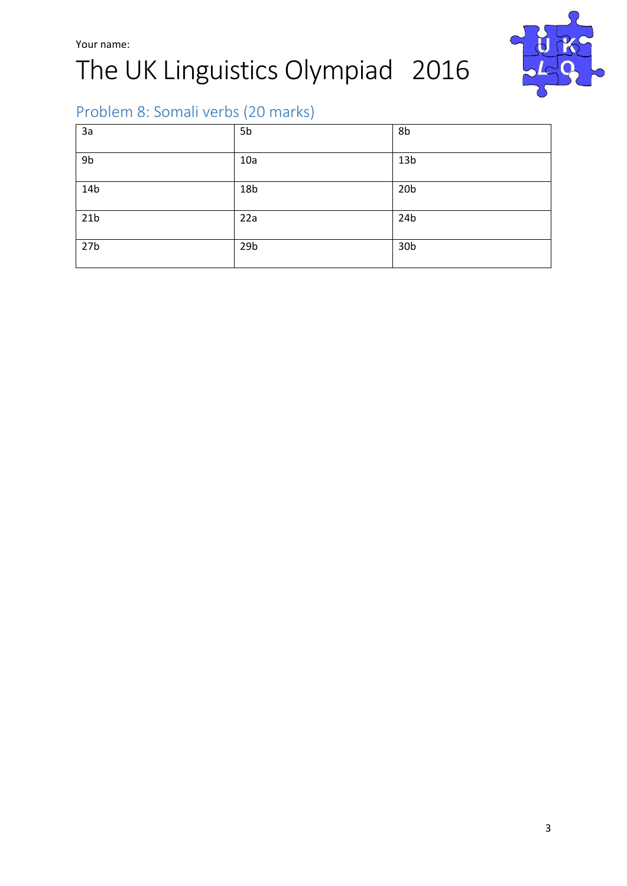# The UK Linguistics Olympiad 2016



## Problem 8: Somali verbs (20 marks)

| 3a              | 5b              | 8b              |
|-----------------|-----------------|-----------------|
| 9b              | 10a             | 13 <sub>b</sub> |
| 14b             | 18 <sub>b</sub> | 20 <sub>b</sub> |
| 21 <sub>b</sub> | 22a             | 24b             |
| 27 <sub>b</sub> | 29 <sub>b</sub> | 30 <sub>b</sub> |